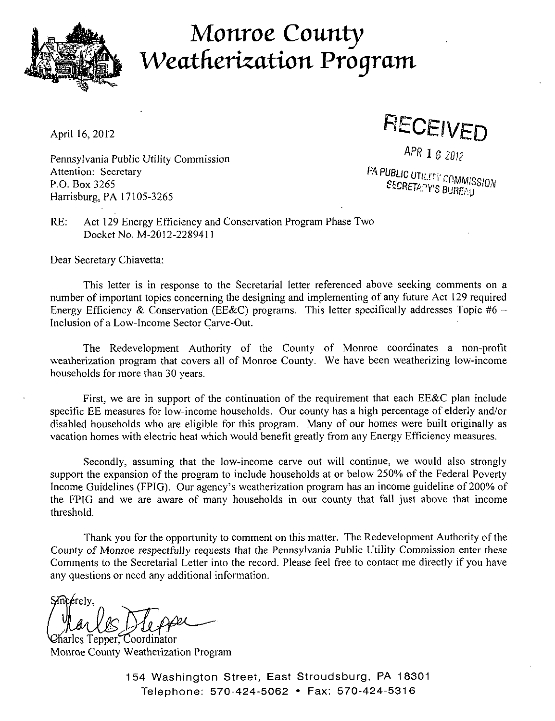

## *Monroe County Weathcrization Program*

April 16, 2012<br>  $APR$  1  $6$  2012

Pennsylvania Public Utility Commission<br>Attention: Secretary Attention: Secretary FA PUBLIC (The rty  $\alpha$ P.O. Box 3265 **SECRETARY'S BURFALL** Harrisburg, PA 17105-3265

RE: Act 129 Energy Efficiency and Conservation Program Phase Two Docket No. M-2012-2289411

Dear Secretary Chiavetta:

This letter is in response to the Secretarial letter referenced above seeking comments on a number of important topics concerning the designing and implementing of any future Act 129 required Energy Efficiency & Conservation (EE&C) programs. This letter specifically addresses Topic #6 -Inclusion of a Low-Income Sector Carve-Out.

The Redevelopment Authority of the County of Monroe coordinates a non-profit weatherization program that covers all of Monroe County. We have been weatherizing low-income households for more than 30 years.

First, we are in support of the continuation of the requirement that each EE&C plan include specific EE measures for low-income households. Our county has a high percentage of elderly and/or disabled households who are eligible for this program. Many of our homes were built originally as vacation homes with electric heat which would benefit greatly from any Energy Efficiency measures.

Secondly, assuming that the low-income carve out will continue, we would also strongly support the expansion of the program to include households at or below 250% of the Federal Poverty Income Guidelines (FPIG). Our agency's weatherization program has an income guideline of 200% of the FPIG and we are aware of many households in our county that fall just above that income threshold.

Thank you for the opportunity to comment on this matter. The Redevelopment Authority of the County of Monroe respectfully requests that the Pennsylvania Public Utility Commission enter these Comments to the Secretarial Letter into the record. Please feel free to contact me directly if you have any questions or need any additional information.

Smcerely,

harles Tepper, Coordinator Monroe County Weatherization Program

154 Washington Street, East Stroudsburg, PA 18301 Telephone: 570-424-5062 • Fax: 570-424-5316